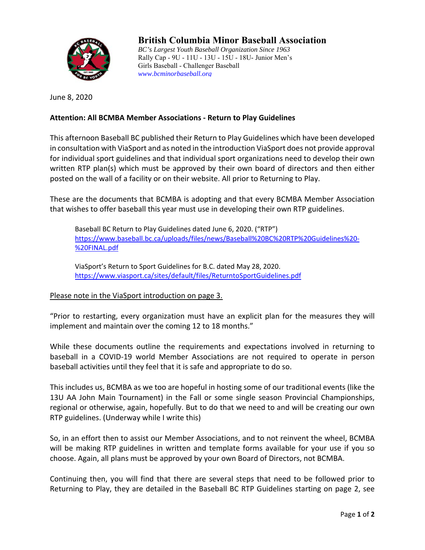

## **British Columbia Minor Baseball Association**

*BC's Largest Youth Baseball Organization Since 1963*  Rally Cap - 9U - 11U - 13U - 15U - 18U- Junior Men's Girls Baseball - Challenger Baseball *www.bcminorbaseball.org* 

June 8, 2020

## **Attention: All BCMBA Member Associations ‐ Return to Play Guidelines**

This afternoon Baseball BC published their Return to Play Guidelines which have been developed in consultation with ViaSport and as noted in the introduction ViaSport does not provide approval for individual sport guidelines and that individual sport organizations need to develop their own written RTP plan(s) which must be approved by their own board of directors and then either posted on the wall of a facility or on their website. All prior to Returning to Play.

These are the documents that BCMBA is adopting and that every BCMBA Member Association that wishes to offer baseball this year must use in developing their own RTP guidelines.

Baseball BC Return to Play Guidelines dated June 6, 2020. ("RTP") https://www.baseball.bc.ca/uploads/files/news/Baseball%20BC%20RTP%20Guidelines%20‐ %20FINAL.pdf

ViaSport's Return to Sport Guidelines for B.C. dated May 28, 2020. https://www.viasport.ca/sites/default/files/ReturntoSportGuidelines.pdf

## Please note in the ViaSport introduction on page 3.

"Prior to restarting, every organization must have an explicit plan for the measures they will implement and maintain over the coming 12 to 18 months."

While these documents outline the requirements and expectations involved in returning to baseball in a COVID-19 world Member Associations are not required to operate in person baseball activities until they feel that it is safe and appropriate to do so.

This includes us, BCMBA as we too are hopeful in hosting some of our traditional events (like the 13U AA John Main Tournament) in the Fall or some single season Provincial Championships, regional or otherwise, again, hopefully. But to do that we need to and will be creating our own RTP guidelines. (Underway while I write this)

So, in an effort then to assist our Member Associations, and to not reinvent the wheel, BCMBA will be making RTP guidelines in written and template forms available for your use if you so choose. Again, all plans must be approved by your own Board of Directors, not BCMBA.

Continuing then, you will find that there are several steps that need to be followed prior to Returning to Play, they are detailed in the Baseball BC RTP Guidelines starting on page 2, see